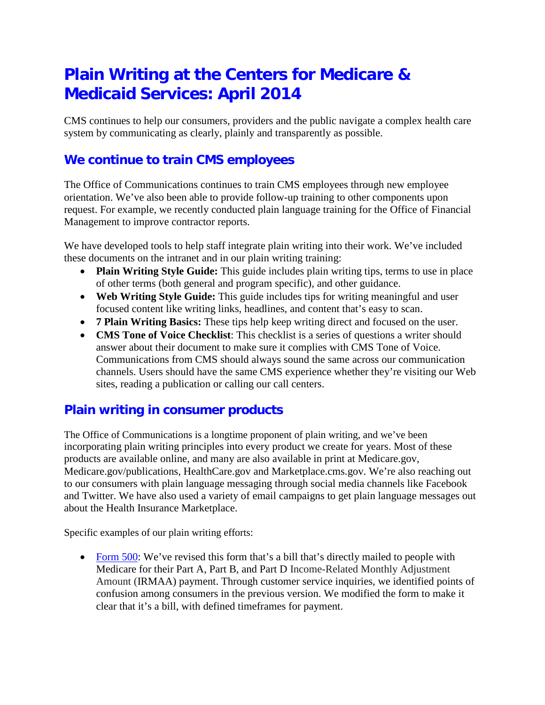# **Plain Writing at the Centers for Medicare & Medicaid Services: April 2014**

CMS continues to help our consumers, providers and the public navigate a complex health care system by communicating as clearly, plainly and transparently as possible.

#### **We continue to train CMS employees**

The Office of Communications continues to train CMS employees through new employee orientation. We've also been able to provide follow-up training to other components upon request. For example, we recently conducted plain language training for the Office of Financial Management to improve contractor reports.

We have developed tools to help staff integrate plain writing into their work. We've included these documents on the intranet and in our plain writing training:

- **Plain Writing Style Guide:** This guide includes plain writing tips, terms to use in place of other terms (both general and program specific), and other guidance.
- **Web Writing Style Guide:** This guide includes tips for writing meaningful and user focused content like writing links, headlines, and content that's easy to scan.
- **7 Plain Writing Basics:** These tips help keep writing direct and focused on the user.
- **CMS Tone of Voice Checklist**: This checklist is a series of questions a writer should answer about their document to make sure it complies with CMS Tone of Voice. Communications from CMS should always sound the same across our communication channels. Users should have the same CMS experience whether they're visiting our Web sites, reading a publication or calling our call centers.

#### **Plain writing in consumer products**

The Office of Communications is a longtime proponent of plain writing, and we've been incorporating plain writing principles into every product we create for years. Most of these products are available online, and many are also available in print at Medicare.gov, Medicare.gov/publications, HealthCare.gov and Marketplace.cms.gov. We're also reaching out to our consumers with plain language messaging through social media channels like Facebook and Twitter. We have also used a variety of email campaigns to get plain language messages out about the Health Insurance Marketplace.

Specific examples of our plain writing efforts:

• [Form 500:](http://www.medicare.gov/forms-help-and-resources/mail-about-medicare/notice-of-medicare-premium-payment-due.html) We've revised this form that's a bill that's directly mailed to people with Medicare for their Part A, Part B, and Part D Income-Related Monthly Adjustment Amount (IRMAA) payment. Through customer service inquiries, we identified points of confusion among consumers in the previous version. We modified the form to make it clear that it's a bill, with defined timeframes for payment.